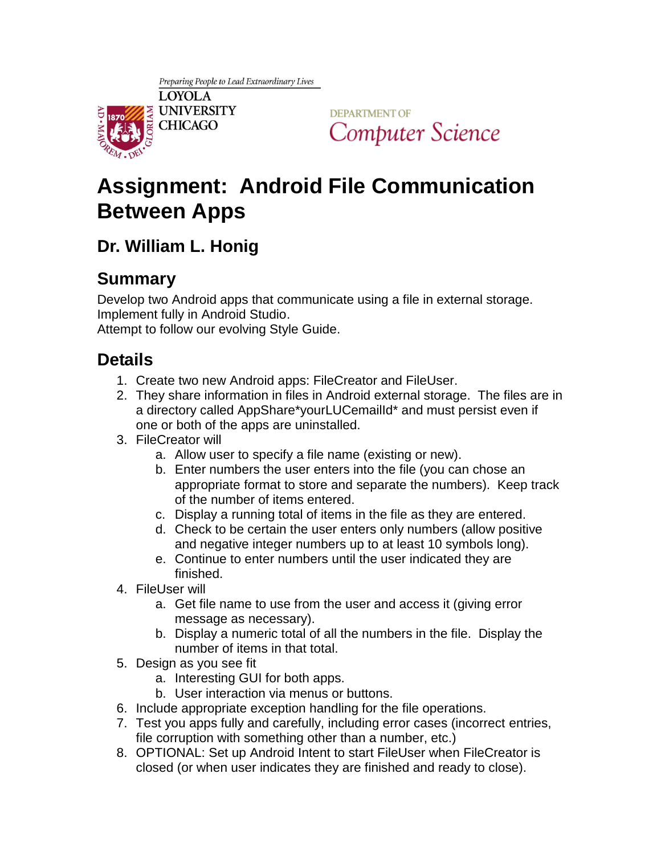

**DEPARTMENT OF** Computer Science

# **Assignment: Android File Communication Between Apps**

## **Dr. William L. Honig**

## **Summary**

Develop two Android apps that communicate using a file in external storage. Implement fully in Android Studio.

Attempt to follow our evolving Style Guide.

### **Details**

- 1. Create two new Android apps: FileCreator and FileUser.
- 2. They share information in files in Android external storage. The files are in a directory called AppShare\*yourLUCemailId\* and must persist even if one or both of the apps are uninstalled.
- 3. FileCreator will
	- a. Allow user to specify a file name (existing or new).
	- b. Enter numbers the user enters into the file (you can chose an appropriate format to store and separate the numbers). Keep track of the number of items entered.
	- c. Display a running total of items in the file as they are entered.
	- d. Check to be certain the user enters only numbers (allow positive and negative integer numbers up to at least 10 symbols long).
	- e. Continue to enter numbers until the user indicated they are finished.
- 4. FileUser will
	- a. Get file name to use from the user and access it (giving error message as necessary).
	- b. Display a numeric total of all the numbers in the file. Display the number of items in that total.
- 5. Design as you see fit
	- a. Interesting GUI for both apps.
	- b. User interaction via menus or buttons.
- 6. Include appropriate exception handling for the file operations.
- 7. Test you apps fully and carefully, including error cases (incorrect entries, file corruption with something other than a number, etc.)
- 8. OPTIONAL: Set up Android Intent to start FileUser when FileCreator is closed (or when user indicates they are finished and ready to close).